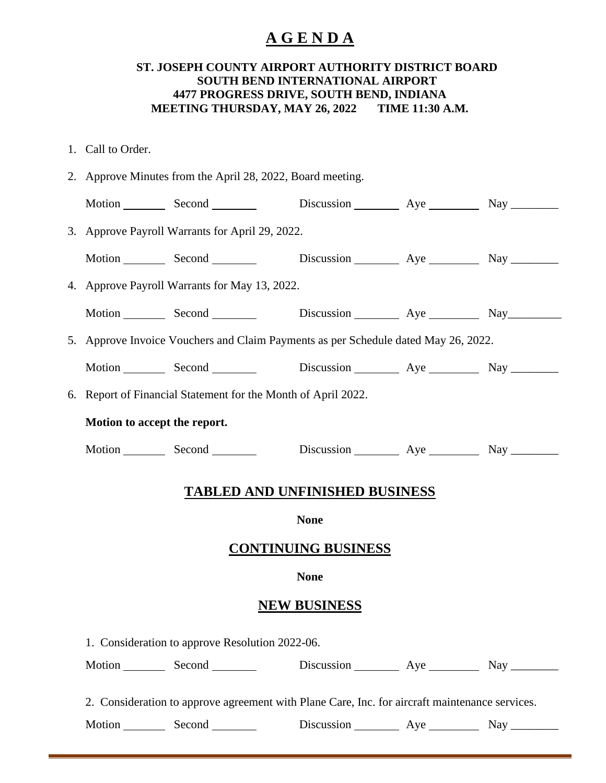## **A G E N D A**

## **ST. JOSEPH COUNTY AIRPORT AUTHORITY DISTRICT BOARD SOUTH BEND INTERNATIONAL AIRPORT 4477 PROGRESS DRIVE, SOUTH BEND, INDIANA MEETING THURSDAY, MAY 26, 2022 TIME 11:30 A.M.**

- 1. Call to Order.
- 2. Approve Minutes from the April 28, 2022, Board meeting.

|                     |                                                                                    | Motion Second Second                  |             |  |  |  |  |  |  |  |
|---------------------|------------------------------------------------------------------------------------|---------------------------------------|-------------|--|--|--|--|--|--|--|
|                     | 3. Approve Payroll Warrants for April 29, 2022.                                    |                                       |             |  |  |  |  |  |  |  |
|                     |                                                                                    | Motion Second Discussion Aye Nay Nay  |             |  |  |  |  |  |  |  |
|                     | 4. Approve Payroll Warrants for May 13, 2022.                                      |                                       |             |  |  |  |  |  |  |  |
|                     |                                                                                    | Motion Second Discussion Aye Nay Nay  |             |  |  |  |  |  |  |  |
|                     | 5. Approve Invoice Vouchers and Claim Payments as per Schedule dated May 26, 2022. |                                       |             |  |  |  |  |  |  |  |
|                     |                                                                                    | Motion Second Discussion Aye Nay Nay  |             |  |  |  |  |  |  |  |
|                     | 6. Report of Financial Statement for the Month of April 2022.                      |                                       |             |  |  |  |  |  |  |  |
|                     | Motion to accept the report.                                                       |                                       |             |  |  |  |  |  |  |  |
|                     |                                                                                    | Motion Second Discussion Aye Nay Nay  |             |  |  |  |  |  |  |  |
|                     |                                                                                    | <b>TABLED AND UNFINISHED BUSINESS</b> |             |  |  |  |  |  |  |  |
|                     |                                                                                    |                                       | <b>None</b> |  |  |  |  |  |  |  |
|                     |                                                                                    |                                       |             |  |  |  |  |  |  |  |
|                     | <b>CONTINUING BUSINESS</b><br><b>None</b>                                          |                                       |             |  |  |  |  |  |  |  |
|                     |                                                                                    |                                       |             |  |  |  |  |  |  |  |
| <b>NEW BUSINESS</b> |                                                                                    |                                       |             |  |  |  |  |  |  |  |
|                     | 1. Consideration to approve Resolution 2022-06.                                    |                                       |             |  |  |  |  |  |  |  |
|                     |                                                                                    | Motion Second Discussion Aye Nay Nay  |             |  |  |  |  |  |  |  |
|                     |                                                                                    |                                       |             |  |  |  |  |  |  |  |

2. Consideration to approve agreement with Plane Care, Inc. for aircraft maintenance services.

Motion Second Discussion Aye Nay Nay